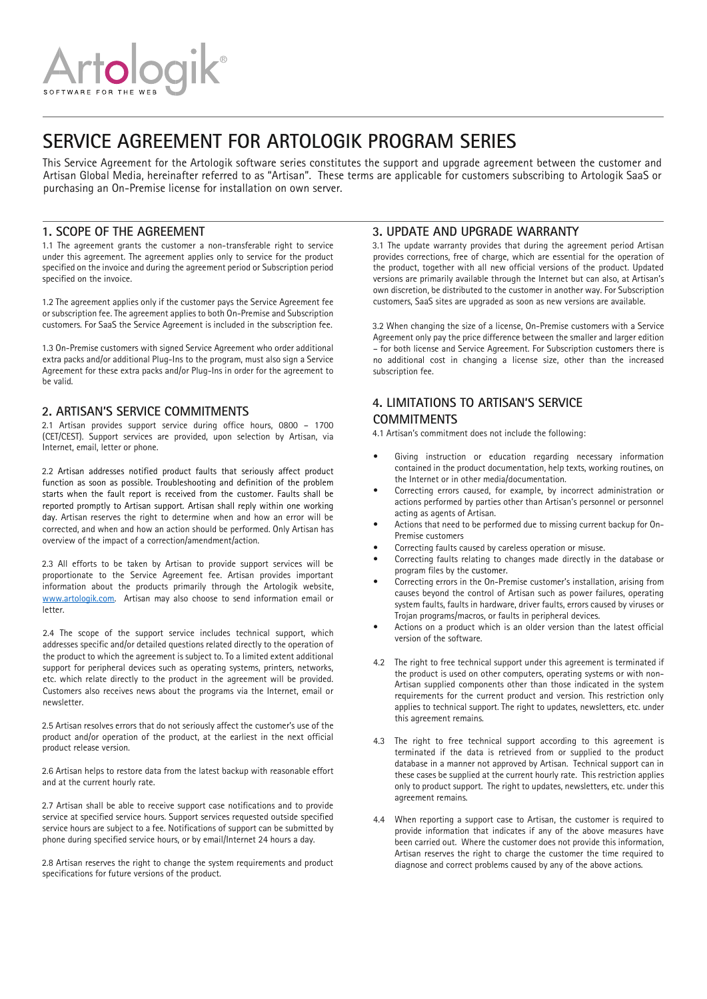# **SERVICE AGREEMENT FOR ARTOLOGIK PROGRAM SERIES**

This Service Agreement for the Artologik software series constitutes the support and upgrade agreement between the customer and Artisan Global Media, hereinafter referred to as "Artisan". These terms are applicable for customers subscribing to Artologik SaaS or purchasing an On-Premise license for installation on own server.

#### **1. SCOPE OF THE AGREEMENT**

1.1 The agreement grants the customer a non-transferable right to service under this agreement. The agreement applies only to service for the product specified on the invoice and during the agreement period or Subscription period specified on the invoice.

1.2 The agreement applies only if the customer pays the Service Agreement fee or subscription fee. The agreement applies to both On-Premise and Subscription customers. For SaaS the Service Agreement is included in the subscription fee.

1.3 On-Premise customers with signed Service Agreement who order additional extra packs and/or additional Plug-Ins to the program, must also sign a Service Agreement for these extra packs and/or Plug-Ins in order for the agreement to be valid.

#### **2. ARTISAN'S SERVICE COMMITMENTS**

2.1 Artisan provides support service during office hours, 0800 – 1700 (CET/CEST). Support services are provided, upon selection by Artisan, via Internet, email, letter or phone.

2.2 Artisan addresses notified product faults that seriously affect product function as soon as possible. Troubleshooting and definition of the problem starts when the fault report is received from the customer. Faults shall be reported promptly to Artisan support. Artisan shall reply within one working day. Artisan reserves the right to determine when and how an error will be corrected, and when and how an action should be performed. Only Artisan has overview of the impact of a correction/amendment/action.

2.3 All efforts to be taken by Artisan to provide support services will be proportionate to the Service Agreement fee. Artisan provides important information about the products primarily through the Artologik website, [www.artologik.com.](https://www.artologik.com/en/Start.aspx) Artisan may also choose to send information email or letter.

2.4 The scope of the support service includes technical support, which addresses specific and/or detailed questions related directly to the operation of the product to which the agreement is subject to. To a limited extent additional support for peripheral devices such as operating systems, printers, networks, etc. which relate directly to the product in the agreement will be provided. Customers also receives news about the programs via the Internet, email or newsletter.

2.5 Artisan resolves errors that do not seriously affect the customer's use of the product and/or operation of the product, at the earliest in the next official product release version.

2.6 Artisan helps to restore data from the latest backup with reasonable effort and at the current hourly rate.

2.7 Artisan shall be able to receive support case notifications and to provide service at specified service hours. Support services requested outside specified service hours are subject to a fee. Notifications of support can be submitted by phone during specified service hours, or by email/Internet 24 hours a day.

2.8 Artisan reserves the right to change the system requirements and product specifications for future versions of the product.

#### **3. UPDATE AND UPGRADE WARRANTY**

3.1 The update warranty provides that during the agreement period Artisan provides corrections, free of charge, which are essential for the operation of the product, together with all new official versions of the product. Updated versions are primarily available through the Internet but can also, at Artisan's own discretion, be distributed to the customer in another way. For Subscription customers, SaaS sites are upgraded as soon as new versions are available.

3.2 When changing the size of a license, On-Premise customers with a Service Agreement only pay the price difference between the smaller and larger edition – for both license and Service Agreement. For Subscription customers there is no additional cost in changing a license size, other than the increased subscription fee.

#### **4. LIMITATIONS TO ARTISAN'S SERVICE COMMITMENTS**

4.1 Artisan's commitment does not include the following:

- Giving instruction or education regarding necessary information contained in the product documentation, help texts, working routines, on the Internet or in other media/documentation.
- Correcting errors caused, for example, by incorrect administration or actions performed by parties other than Artisan's personnel or personnel acting as agents of Artisan.
- Actions that need to be performed due to missing current backup for On-Premise customers
- Correcting faults caused by careless operation or misuse.
- Correcting faults relating to changes made directly in the database or program files by the customer.
- Correcting errors in the On-Premise customer's installation, arising from causes beyond the control of Artisan such as power failures, operating system faults, faults in hardware, driver faults, errors caused by viruses or Trojan programs/macros, or faults in peripheral devices.
- Actions on a product which is an older version than the latest official version of the software.
- 4.2 The right to free technical support under this agreement is terminated if the product is used on other computers, operating systems or with non-Artisan supplied components other than those indicated in the system requirements for the current product and version. This restriction only applies to technical support. The right to updates, newsletters, etc. under this agreement remains.
- 4.3 The right to free technical support according to this agreement is terminated if the data is retrieved from or supplied to the product database in a manner not approved by Artisan. Technical support can in these cases be supplied at the current hourly rate. This restriction applies only to product support. The right to updates, newsletters, etc. under this agreement remains.
- 4.4 When reporting a support case to Artisan, the customer is required to provide information that indicates if any of the above measures have been carried out. Where the customer does not provide this information, Artisan reserves the right to charge the customer the time required to diagnose and correct problems caused by any of the above actions.